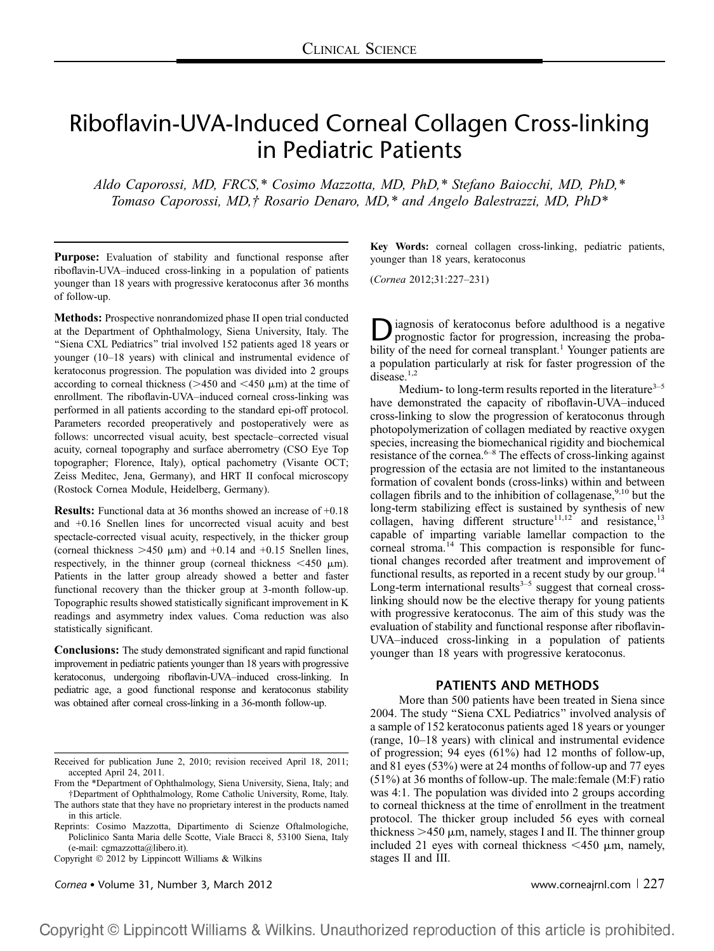# Riboflavin-UVA-Induced Corneal Collagen Cross-linking in Pediatric Patients

Aldo Caporossi, MD, FRCS,\* Cosimo Mazzotta, MD, PhD,\* Stefano Baiocchi, MD, PhD,\* Tomaso Caporossi, MD,† Rosario Denaro, MD,\* and Angelo Balestrazzi, MD, PhD\*

Purpose: Evaluation of stability and functional response after riboflavin-UVA–induced cross-linking in a population of patients younger than 18 years with progressive keratoconus after 36 months of follow-up.

Methods: Prospective nonrandomized phase II open trial conducted at the Department of Ophthalmology, Siena University, Italy. The "Siena CXL Pediatrics" trial involved 152 patients aged 18 years or younger (10–18 years) with clinical and instrumental evidence of keratoconus progression. The population was divided into 2 groups according to corneal thickness ( $>450$  and  $<450 \mu$ m) at the time of enrollment. The riboflavin-UVA–induced corneal cross-linking was performed in all patients according to the standard epi-off protocol. Parameters recorded preoperatively and postoperatively were as follows: uncorrected visual acuity, best spectacle–corrected visual acuity, corneal topography and surface aberrometry (CSO Eye Top topographer; Florence, Italy), optical pachometry (Visante OCT; Zeiss Meditec, Jena, Germany), and HRT II confocal microscopy (Rostock Cornea Module, Heidelberg, Germany).

Results: Functional data at 36 months showed an increase of +0.18 and +0.16 Snellen lines for uncorrected visual acuity and best spectacle-corrected visual acuity, respectively, in the thicker group (corneal thickness  $>450 \mu m$ ) and  $+0.14$  and  $+0.15$  Snellen lines, respectively, in the thinner group (corneal thickness  $\leq 450 \mu$ m). Patients in the latter group already showed a better and faster functional recovery than the thicker group at 3-month follow-up. Topographic results showed statistically significant improvement in K readings and asymmetry index values. Coma reduction was also statistically significant.

Conclusions: The study demonstrated significant and rapid functional improvement in pediatric patients younger than 18 years with progressive keratoconus, undergoing riboflavin-UVA–induced cross-linking. In pediatric age, a good functional response and keratoconus stability was obtained after corneal cross-linking in a 36-month follow-up.

Copyright © 2012 by Lippincott Williams & Wilkins

Cornea • Volume 31, Number 3, March 2012 **www.corneagril.com** | 227

Key Words: corneal collagen cross-linking, pediatric patients, younger than 18 years, keratoconus

(Cornea 2012;31:227–231)

**D** iagnosis of keratoconus before adulthood is a negative prognostic factor for progression, increasing the probability of the need for corneal transplant.<sup>1</sup> Younger patients are a population particularly at risk for faster progression of the disease.<sup>1,2</sup>

Medium- to long-term results reported in the literature $3-5$ have demonstrated the capacity of riboflavin-UVA–induced cross-linking to slow the progression of keratoconus through photopolymerization of collagen mediated by reactive oxygen species, increasing the biomechanical rigidity and biochemical resistance of the cornea.6–8 The effects of cross-linking against progression of the ectasia are not limited to the instantaneous formation of covalent bonds (cross-links) within and between collagen fibrils and to the inhibition of collagenase,  $9,10$  but the long-term stabilizing effect is sustained by synthesis of new collagen, having different structure<sup>11,12</sup> and resistance,<sup>13</sup> capable of imparting variable lamellar compaction to the corneal stroma.<sup>14</sup> This compaction is responsible for functional changes recorded after treatment and improvement of functional results, as reported in a recent study by our group.<sup>14</sup> Long-term international results $3-5$  suggest that corneal crosslinking should now be the elective therapy for young patients with progressive keratoconus. The aim of this study was the evaluation of stability and functional response after riboflavin-UVA–induced cross-linking in a population of patients younger than 18 years with progressive keratoconus.

## PATIENTS AND METHODS

More than 500 patients have been treated in Siena since 2004. The study ''Siena CXL Pediatrics'' involved analysis of a sample of 152 keratoconus patients aged 18 years or younger (range, 10–18 years) with clinical and instrumental evidence of progression; 94 eyes (61%) had 12 months of follow-up, and 81 eyes (53%) were at 24 months of follow-up and 77 eyes (51%) at 36 months of follow-up. The male:female (M:F) ratio was 4:1. The population was divided into 2 groups according to corneal thickness at the time of enrollment in the treatment protocol. The thicker group included 56 eyes with corneal thickness  $>450 \mu m$ , namely, stages I and II. The thinner group included 21 eyes with corneal thickness  $\leq 450$  µm, namely, stages II and III.

Received for publication June 2, 2010; revision received April 18, 2011; accepted April 24, 2011.

From the \*Department of Ophthalmology, Siena University, Siena, Italy; and †Department of Ophthalmology, Rome Catholic University, Rome, Italy. The authors state that they have no proprietary interest in the products named

in this article.

Reprints: Cosimo Mazzotta, Dipartimento di Scienze Oftalmologiche, Policlinico Santa Maria delle Scotte, Viale Bracci 8, 53100 Siena, Italy (e-mail: cgmazzotta@libero.it).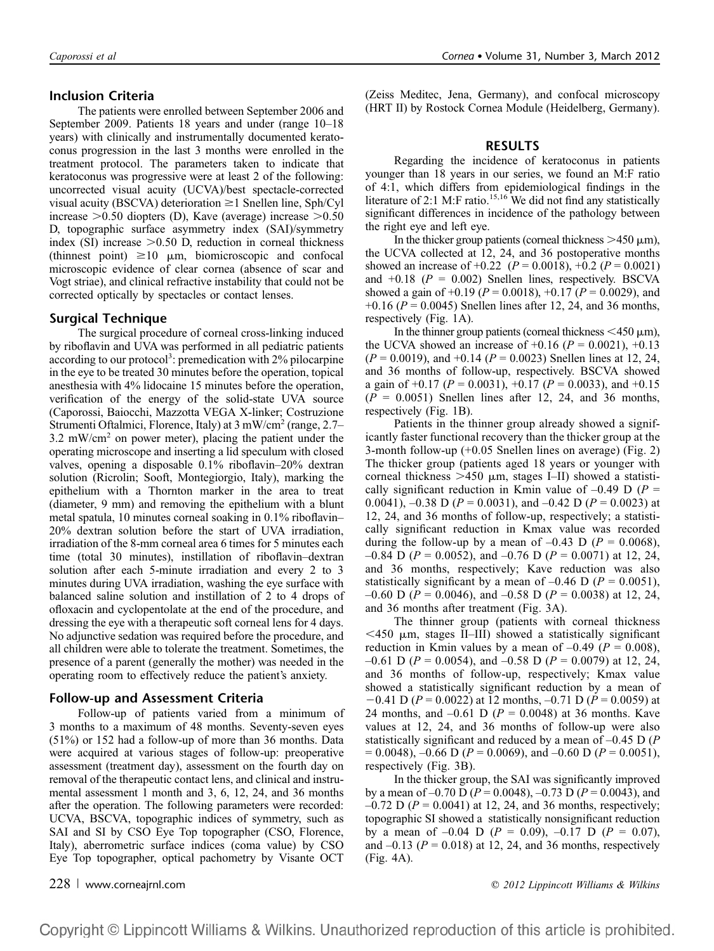#### Inclusion Criteria

The patients were enrolled between September 2006 and September 2009. Patients 18 years and under (range 10–18 years) with clinically and instrumentally documented keratoconus progression in the last 3 months were enrolled in the treatment protocol. The parameters taken to indicate that keratoconus was progressive were at least 2 of the following: uncorrected visual acuity (UCVA)/best spectacle-corrected visual acuity (BSCVA) deterioration  $\geq 1$  Snellen line, Sph/Cyl increase  $>0.50$  diopters (D), Kave (average) increase  $>0.50$ D, topographic surface asymmetry index (SAI)/symmetry index (SI) increase  $>0.50$  D, reduction in corneal thickness (thinnest point)  $\geq 10 \mu m$ , biomicroscopic and confocal microscopic evidence of clear cornea (absence of scar and Vogt striae), and clinical refractive instability that could not be corrected optically by spectacles or contact lenses.

#### Surgical Technique

The surgical procedure of corneal cross-linking induced by riboflavin and UVA was performed in all pediatric patients according to our protocol<sup>3</sup>: premedication with 2% pilocarpine in the eye to be treated 30 minutes before the operation, topical anesthesia with 4% lidocaine 15 minutes before the operation, verification of the energy of the solid-state UVA source (Caporossi, Baiocchi, Mazzotta VEGA X-linker; Costruzione Strumenti Oftalmici, Florence, Italy) at 3 mW/cm<sup>2</sup> (range, 2.7– 3.2 mW/cm<sup>2</sup> on power meter), placing the patient under the operating microscope and inserting a lid speculum with closed valves, opening a disposable 0.1% riboflavin–20% dextran solution (Ricrolin; Sooft, Montegiorgio, Italy), marking the epithelium with a Thornton marker in the area to treat (diameter, 9 mm) and removing the epithelium with a blunt metal spatula, 10 minutes corneal soaking in 0.1% riboflavin– 20% dextran solution before the start of UVA irradiation, irradiation of the 8-mm corneal area 6 times for 5 minutes each time (total 30 minutes), instillation of riboflavin–dextran solution after each 5-minute irradiation and every 2 to 3 minutes during UVA irradiation, washing the eye surface with balanced saline solution and instillation of 2 to 4 drops of ofloxacin and cyclopentolate at the end of the procedure, and dressing the eye with a therapeutic soft corneal lens for 4 days. No adjunctive sedation was required before the procedure, and all children were able to tolerate the treatment. Sometimes, the presence of a parent (generally the mother) was needed in the operating room to effectively reduce the patient's anxiety.

#### Follow-up and Assessment Criteria

Follow-up of patients varied from a minimum of 3 months to a maximum of 48 months. Seventy-seven eyes (51%) or 152 had a follow-up of more than 36 months. Data were acquired at various stages of follow-up: preoperative assessment (treatment day), assessment on the fourth day on removal of the therapeutic contact lens, and clinical and instrumental assessment 1 month and 3, 6, 12, 24, and 36 months after the operation. The following parameters were recorded: UCVA, BSCVA, topographic indices of symmetry, such as SAI and SI by CSO Eye Top topographer (CSO, Florence, Italy), aberrometric surface indices (coma value) by CSO Eye Top topographer, optical pachometry by Visante OCT

(Zeiss Meditec, Jena, Germany), and confocal microscopy (HRT II) by Rostock Cornea Module (Heidelberg, Germany).

### RESULTS

Regarding the incidence of keratoconus in patients younger than 18 years in our series, we found an M:F ratio of 4:1, which differs from epidemiological findings in the literature of 2:1 M:F ratio.<sup>15,16</sup> We did not find any statistically significant differences in incidence of the pathology between the right eye and left eye.

In the thicker group patients (corneal thickness  $>450 \mu m$ ), the UCVA collected at 12, 24, and 36 postoperative months showed an increase of  $+0.22$  ( $P = 0.0018$ ),  $+0.2$  ( $P = 0.0021$ ) and  $+0.18$  ( $P = 0.002$ ) Snellen lines, respectively. BSCVA showed a gain of  $+0.19$  ( $P = 0.0018$ ),  $+0.17$  ( $P = 0.0029$ ), and +0.16 ( $P = 0.0045$ ) Snellen lines after 12, 24, and 36 months, respectively (Fig. 1A).

In the thinner group patients (corneal thickness  $\leq 450 \,\mu m$ ), the UCVA showed an increase of  $+0.16$  ( $P = 0.0021$ ),  $+0.13$  $(P = 0.0019)$ , and  $+0.14 (P = 0.0023)$  Snellen lines at 12, 24, and 36 months of follow-up, respectively. BSCVA showed a gain of  $+0.17$  ( $P = 0.0031$ ),  $+0.17$  ( $P = 0.0033$ ), and  $+0.15$  $(P = 0.0051)$  Snellen lines after 12, 24, and 36 months, respectively (Fig. 1B).

Patients in the thinner group already showed a significantly faster functional recovery than the thicker group at the 3-month follow-up (+0.05 Snellen lines on average) (Fig. 2) The thicker group (patients aged 18 years or younger with corneal thickness  $>450 \mu m$ , stages I–II) showed a statistically significant reduction in Kmin value of  $-0.49$  D (P = 0.0041),  $-0.38$  D ( $P = 0.0031$ ), and  $-0.42$  D ( $P = 0.0023$ ) at 12, 24, and 36 months of follow-up, respectively; a statistically significant reduction in Kmax value was recorded during the follow-up by a mean of  $-0.43$  D ( $P = 0.0068$ ),  $-0.84$  D (P = 0.0052), and  $-0.76$  D (P = 0.0071) at 12, 24, and 36 months, respectively; Kave reduction was also statistically significant by a mean of  $-0.46$  D ( $P = 0.0051$ ),  $-0.60$  D (P = 0.0046), and  $-0.58$  D (P = 0.0038) at 12, 24, and 36 months after treatment (Fig. 3A).

The thinner group (patients with corneal thickness  $<$ 450  $\mu$ m, stages II–III) showed a statistically significant reduction in Kmin values by a mean of  $-0.49$  ( $P = 0.008$ ),  $-0.61$  D (P = 0.0054), and  $-0.58$  D (P = 0.0079) at 12, 24, and 36 months of follow-up, respectively; Kmax value showed a statistically significant reduction by a mean of  $-0.41$  D (P = 0.0022) at 12 months,  $-0.71$  D (P = 0.0059) at 24 months, and  $-0.61$  D ( $P = 0.0048$ ) at 36 months. Kave values at 12, 24, and 36 months of follow-up were also statistically significant and reduced by a mean of  $-0.45$  D (P)  $= 0.0048$ ,  $-0.66$  D (P = 0.0069), and  $-0.60$  D (P = 0.0051), respectively (Fig. 3B).

In the thicker group, the SAI was significantly improved by a mean of  $-0.70$  D ( $P = 0.0048$ ),  $-0.73$  D ( $P = 0.0043$ ), and  $-0.72$  D ( $P = 0.0041$ ) at 12, 24, and 36 months, respectively; topographic SI showed a statistically nonsignificant reduction by a mean of  $-0.04$  D ( $P = 0.09$ ),  $-0.17$  D ( $P = 0.07$ ), and  $-0.13$  ( $P = 0.018$ ) at 12, 24, and 36 months, respectively (Fig. 4A).

228 <sup>|</sup> www.corneajrnl.com q 2012 Lippincott Williams & Wilkins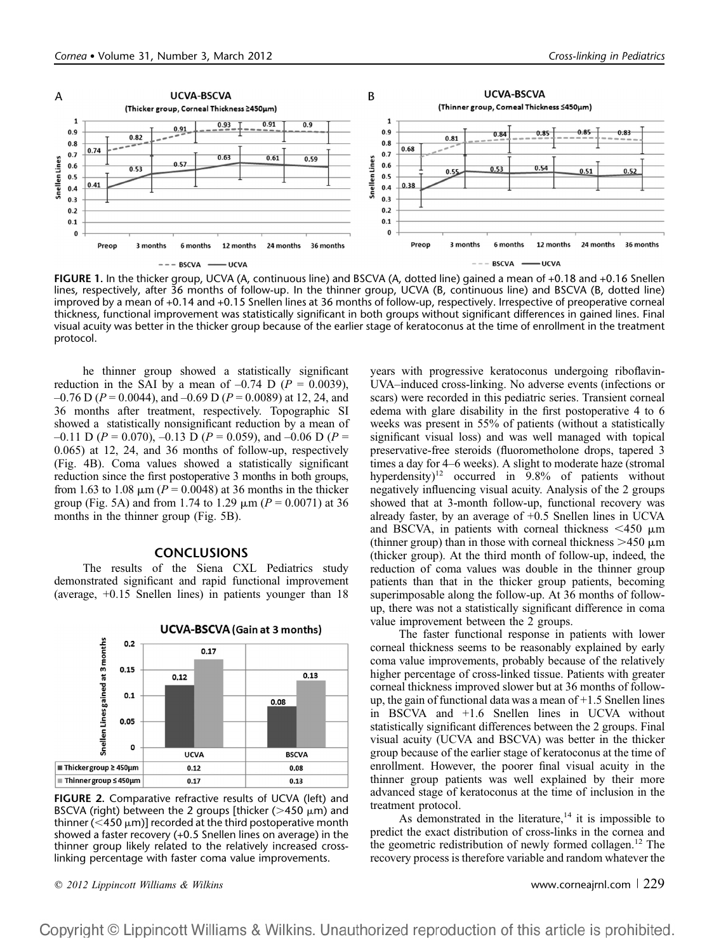

FIGURE 1. In the thicker group, UCVA (A, continuous line) and BSCVA (A, dotted line) gained a mean of +0.18 and +0.16 Snellen lines, respectively, after 36 months of follow-up. In the thinner group, UCVA (B, continuous line) and BSCVA (B, dotted line) improved by a mean of +0.14 and +0.15 Snellen lines at 36 months of follow-up, respectively. Irrespective of preoperative corneal thickness, functional improvement was statistically significant in both groups without significant differences in gained lines. Final visual acuity was better in the thicker group because of the earlier stage of keratoconus at the time of enrollment in the treatment protocol.

he thinner group showed a statistically significant reduction in the SAI by a mean of  $-0.74$  D ( $P = 0.0039$ ),  $-0.76$  D ( $P = 0.0044$ ), and  $-0.69$  D ( $P = 0.0089$ ) at 12, 24, and 36 months after treatment, respectively. Topographic SI showed a statistically nonsignificant reduction by a mean of  $-0.11$  D (P = 0.070),  $-0.13$  D (P = 0.059), and  $-0.06$  D (P = 0.065) at 12, 24, and 36 months of follow-up, respectively (Fig. 4B). Coma values showed a statistically significant reduction since the first postoperative 3 months in both groups, from 1.63 to 1.08  $\mu$ m (P = 0.0048) at 36 months in the thicker group (Fig. 5A) and from 1.74 to 1.29  $\mu$ m ( $P = 0.0071$ ) at 36 months in the thinner group (Fig. 5B).

#### **CONCLUSIONS**

The results of the Siena CXL Pediatrics study demonstrated significant and rapid functional improvement (average, +0.15 Snellen lines) in patients younger than 18



**UCVA-BSCVA (Gain at 3 months)** 

FIGURE 2. Comparative refractive results of UCVA (left) and BSCVA (right) between the 2 groups [thicker ( $>450 \mu m$ ) and thinner ( $<$ 450  $\mu$ m)] recorded at the third postoperative month showed a faster recovery (+0.5 Snellen lines on average) in the thinner group likely related to the relatively increased crosslinking percentage with faster coma value improvements.

years with progressive keratoconus undergoing riboflavin-UVA–induced cross-linking. No adverse events (infections or scars) were recorded in this pediatric series. Transient corneal edema with glare disability in the first postoperative 4 to 6 weeks was present in 55% of patients (without a statistically significant visual loss) and was well managed with topical preservative-free steroids (fluorometholone drops, tapered 3 times a day for 4–6 weeks). A slight to moderate haze (stromal hyperdensity)<sup>12</sup> occurred in 9.8% of patients without negatively influencing visual acuity. Analysis of the 2 groups showed that at 3-month follow-up, functional recovery was already faster, by an average of +0.5 Snellen lines in UCVA and BSCVA, in patients with corneal thickness  $\leq 450 \mu m$ (thinner group) than in those with corneal thickness  $>450 \mu m$ (thicker group). At the third month of follow-up, indeed, the reduction of coma values was double in the thinner group patients than that in the thicker group patients, becoming superimposable along the follow-up. At 36 months of followup, there was not a statistically significant difference in coma value improvement between the 2 groups.

The faster functional response in patients with lower corneal thickness seems to be reasonably explained by early coma value improvements, probably because of the relatively higher percentage of cross-linked tissue. Patients with greater corneal thickness improved slower but at 36 months of followup, the gain of functional data was a mean of +1.5 Snellen lines in BSCVA and +1.6 Snellen lines in UCVA without statistically significant differences between the 2 groups. Final visual acuity (UCVA and BSCVA) was better in the thicker group because of the earlier stage of keratoconus at the time of enrollment. However, the poorer final visual acuity in the thinner group patients was well explained by their more advanced stage of keratoconus at the time of inclusion in the treatment protocol.

As demonstrated in the literature,<sup>14</sup> it is impossible to predict the exact distribution of cross-links in the cornea and the geometric redistribution of newly formed collagen.<sup>12</sup> The recovery process is therefore variable and random whatever the

 $\degree$  2012 Lippincott Williams & Wilkins www.corneajrnl.com | 229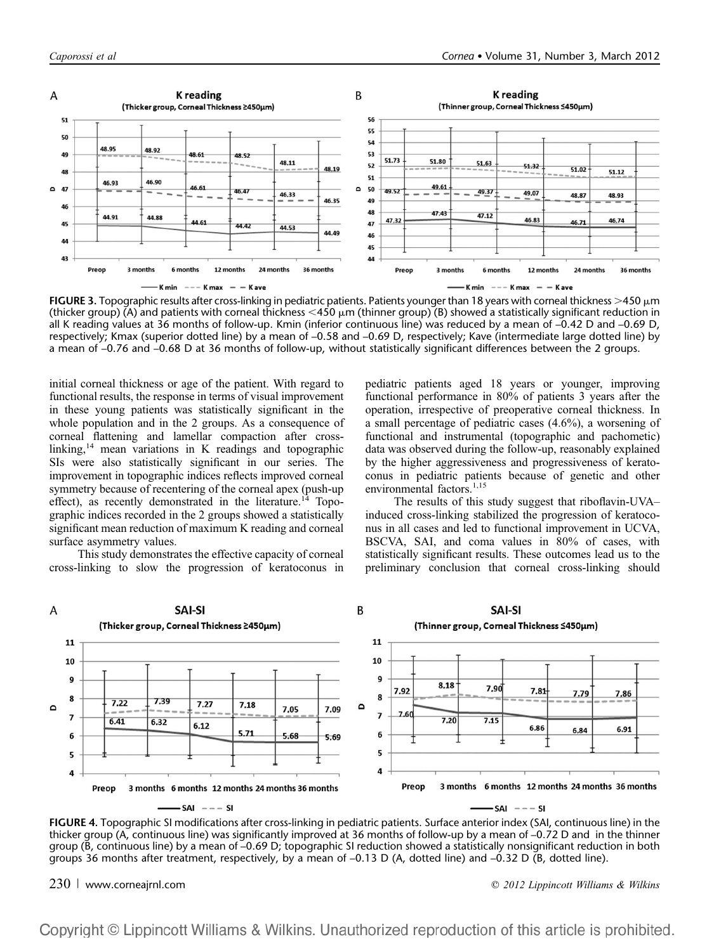

**FIGURE 3.** Topographic results after cross-linking in pediatric patients. Patients younger than 18 years with corneal thickness  $>$ 450  $\mu$ m (thicker group) (A) and patients with corneal thickness  $<$ 450  $\mu$ m (thinner group) (B) showed a statistically significant reduction in all K reading values at 36 months of follow-up. Kmin (inferior continuous line) was reduced by a mean of –0.42 D and –0.69 D, respectively; Kmax (superior dotted line) by a mean of –0.58 and –0.69 D, respectively; Kave (intermediate large dotted line) by a mean of –0.76 and –0.68 D at 36 months of follow-up, without statistically significant differences between the 2 groups.

initial corneal thickness or age of the patient. With regard to functional results, the response in terms of visual improvement in these young patients was statistically significant in the whole population and in the 2 groups. As a consequence of corneal flattening and lamellar compaction after crosslinking,<sup>14</sup> mean variations in K readings and topographic SIs were also statistically significant in our series. The improvement in topographic indices reflects improved corneal symmetry because of recentering of the corneal apex (push-up effect), as recently demonstrated in the literature.<sup>14</sup> Topographic indices recorded in the 2 groups showed a statistically significant mean reduction of maximum K reading and corneal surface asymmetry values.

This study demonstrates the effective capacity of corneal cross-linking to slow the progression of keratoconus in pediatric patients aged 18 years or younger, improving functional performance in 80% of patients 3 years after the operation, irrespective of preoperative corneal thickness. In a small percentage of pediatric cases (4.6%), a worsening of functional and instrumental (topographic and pachometic) data was observed during the follow-up, reasonably explained by the higher aggressiveness and progressiveness of keratoconus in pediatric patients because of genetic and other environmental factors.<sup>1,15</sup>

The results of this study suggest that riboflavin-UVA– induced cross-linking stabilized the progression of keratoconus in all cases and led to functional improvement in UCVA, BSCVA, SAI, and coma values in 80% of cases, with statistically significant results. These outcomes lead us to the preliminary conclusion that corneal cross-linking should



FIGURE 4. Topographic SI modifications after cross-linking in pediatric patients. Surface anterior index (SAI, continuous line) in the thicker group (A, continuous line) was significantly improved at 36 months of follow-up by a mean of –0.72 D and in the thinner group (B, continuous line) by a mean of –0.69 D; topographic SI reduction showed a statistically nonsignificant reduction in both groups 36 months after treatment, respectively, by a mean of –0.13 D (A, dotted line) and –0.32 D (B, dotted line).

 $230$  | www.corneajrnl.com  $\degree$  2012 Lippincott Williams & Wilkins